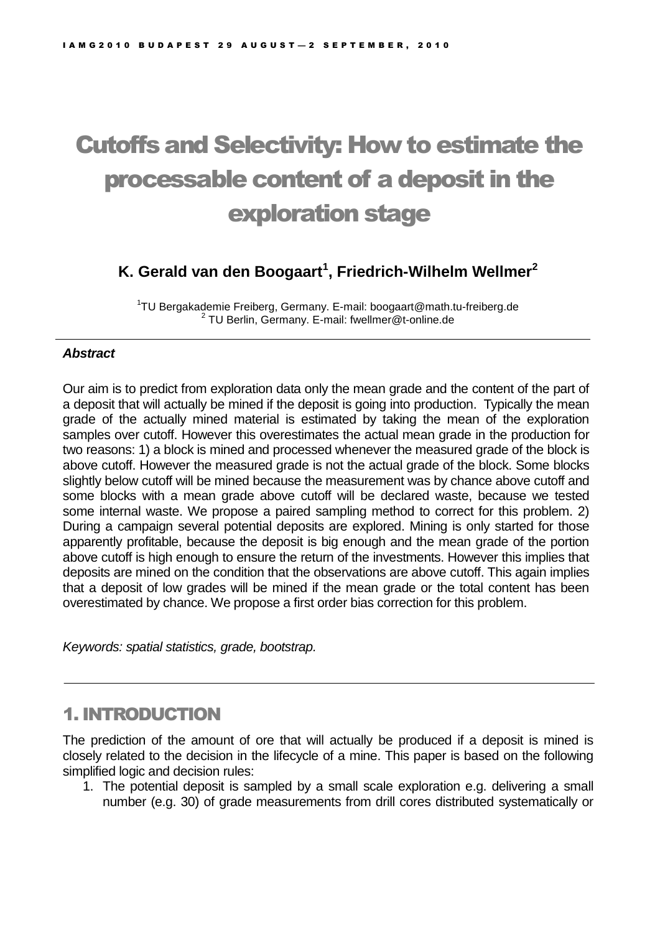# Cutoffs and Selectivity: How to estimate the processable content of a deposit in the exploration stage

# **K. Gerald van den Boogaart<sup>1</sup> , Friedrich-Wilhelm Wellmer<sup>2</sup>**

<sup>1</sup>TU Bergakademie Freiberg, Germany. E-mail: boogaart@math.tu-freiberg.de 2 TU Berlin, Germany. E-mail: fwellmer@t-online.de

### *Abstract*

Our aim is to predict from exploration data only the mean grade and the content of the part of a deposit that will actually be mined if the deposit is going into production. Typically the mean grade of the actually mined material is estimated by taking the mean of the exploration samples over cutoff. However this overestimates the actual mean grade in the production for two reasons: 1) a block is mined and processed whenever the measured grade of the block is above cutoff. However the measured grade is not the actual grade of the block. Some blocks slightly below cutoff will be mined because the measurement was by chance above cutoff and some blocks with a mean grade above cutoff will be declared waste, because we tested some internal waste. We propose a paired sampling method to correct for this problem. 2) During a campaign several potential deposits are explored. Mining is only started for those apparently profitable, because the deposit is big enough and the mean grade of the portion above cutoff is high enough to ensure the return of the investments. However this implies that deposits are mined on the condition that the observations are above cutoff. This again implies that a deposit of low grades will be mined if the mean grade or the total content has been overestimated by chance. We propose a first order bias correction for this problem.

*Keywords: spatial statistics, grade, bootstrap.*

# 1. INTRODUCTION

The prediction of the amount of ore that will actually be produced if a deposit is mined is closely related to the decision in the lifecycle of a mine. This paper is based on the following simplified logic and decision rules:

1. The potential deposit is sampled by a small scale exploration e.g. delivering a small number (e.g. 30) of grade measurements from drill cores distributed systematically or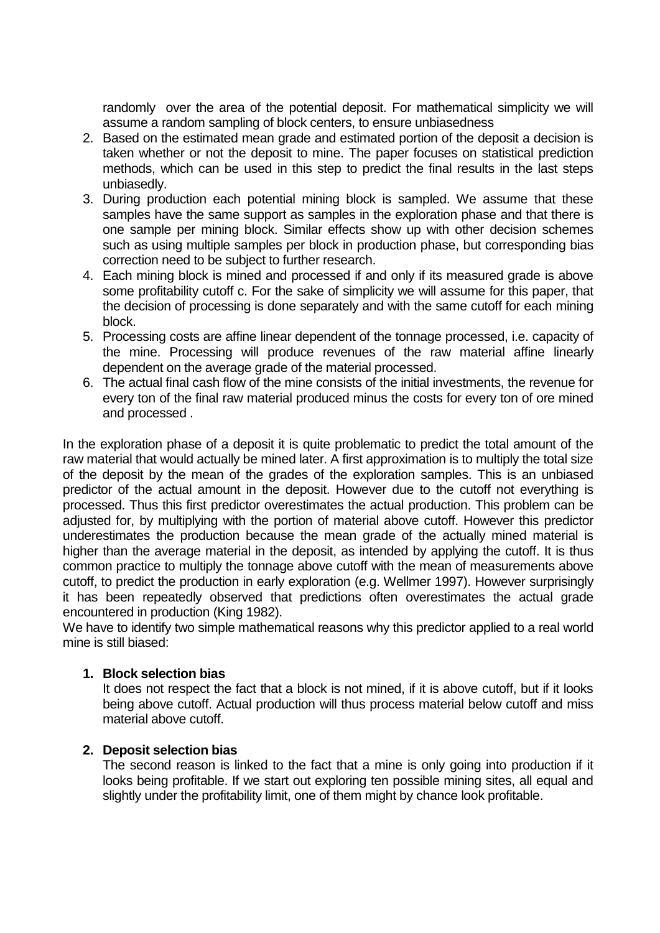randomly over the area of the potential deposit. For mathematical simplicity we will assume a random sampling of block centers, to ensure unbiasedness

- 2. Based on the estimated mean grade and estimated portion of the deposit a decision is taken whether or not the deposit to mine. The paper focuses on statistical prediction methods, which can be used in this step to predict the final results in the last steps unbiasedly.
- 3. During production each potential mining block is sampled. We assume that these samples have the same support as samples in the exploration phase and that there is one sample per mining block. Similar effects show up with other decision schemes such as using multiple samples per block in production phase, but corresponding bias correction need to be subject to further research.
- 4. Each mining block is mined and processed if and only if its measured grade is above some profitability cutoff c. For the sake of simplicity we will assume for this paper, that the decision of processing is done separately and with the same cutoff for each mining block.
- 5. Processing costs are affine linear dependent of the tonnage processed, i.e. capacity of the mine. Processing will produce revenues of the raw material affine linearly dependent on the average grade of the material processed.
- 6. The actual final cash flow of the mine consists of the initial investments, the revenue for every ton of the final raw material produced minus the costs for every ton of ore mined and processed .

In the exploration phase of a deposit it is quite problematic to predict the total amount of the raw material that would actually be mined later. A first approximation is to multiply the total size of the deposit by the mean of the grades of the exploration samples. This is an unbiased predictor of the actual amount in the deposit. However due to the cutoff not everything is processed. Thus this first predictor overestimates the actual production. This problem can be adjusted for, by multiplying with the portion of material above cutoff. However this predictor underestimates the production because the mean grade of the actually mined material is higher than the average material in the deposit, as intended by applying the cutoff. It is thus common practice to multiply the tonnage above cutoff with the mean of measurements above cutoff, to predict the production in early exploration (e.g. Wellmer 1997). However surprisingly it has been repeatedly observed that predictions often overestimates the actual grade encountered in production (King 1982).

We have to identify two simple mathematical reasons why this predictor applied to a real world mine is still biased:

### **1. Block selection bias**

It does not respect the fact that a block is not mined, if it is above cutoff, but if it looks being above cutoff. Actual production will thus process material below cutoff and miss material above cutoff.

### **2. Deposit selection bias**

The second reason is linked to the fact that a mine is only going into production if it looks being profitable. If we start out exploring ten possible mining sites, all equal and slightly under the profitability limit, one of them might by chance look profitable.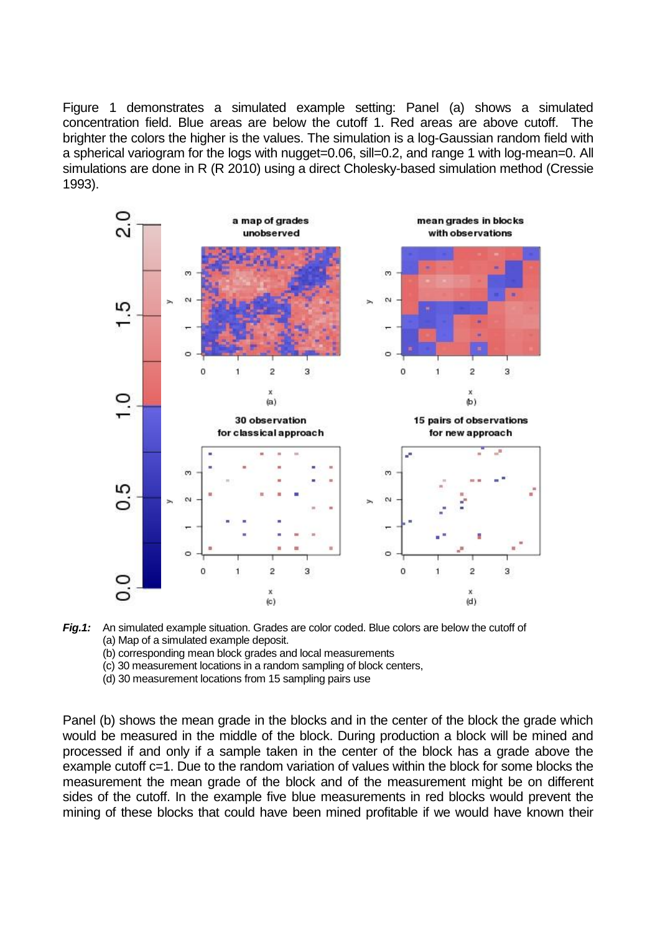Figure 1 demonstrates a simulated example setting: Panel (a) shows a simulated concentration field. Blue areas are below the cutoff 1. Red areas are above cutoff. The brighter the colors the higher is the values. The simulation is a log-Gaussian random field with a spherical variogram for the logs with nugget=0.06, sill=0.2, and range 1 with log-mean=0. All simulations are done in R (R 2010) using a direct Cholesky-based simulation method (Cressie 1993).





(b) corresponding mean block grades and local measurements

(c) 30 measurement locations in a random sampling of block centers,

(d) 30 measurement locations from 15 sampling pairs use

Panel (b) shows the mean grade in the blocks and in the center of the block the grade which would be measured in the middle of the block. During production a block will be mined and processed if and only if a sample taken in the center of the block has a grade above the example cutoff c=1. Due to the random variation of values within the block for some blocks the measurement the mean grade of the block and of the measurement might be on different sides of the cutoff. In the example five blue measurements in red blocks would prevent the mining of these blocks that could have been mined profitable if we would have known their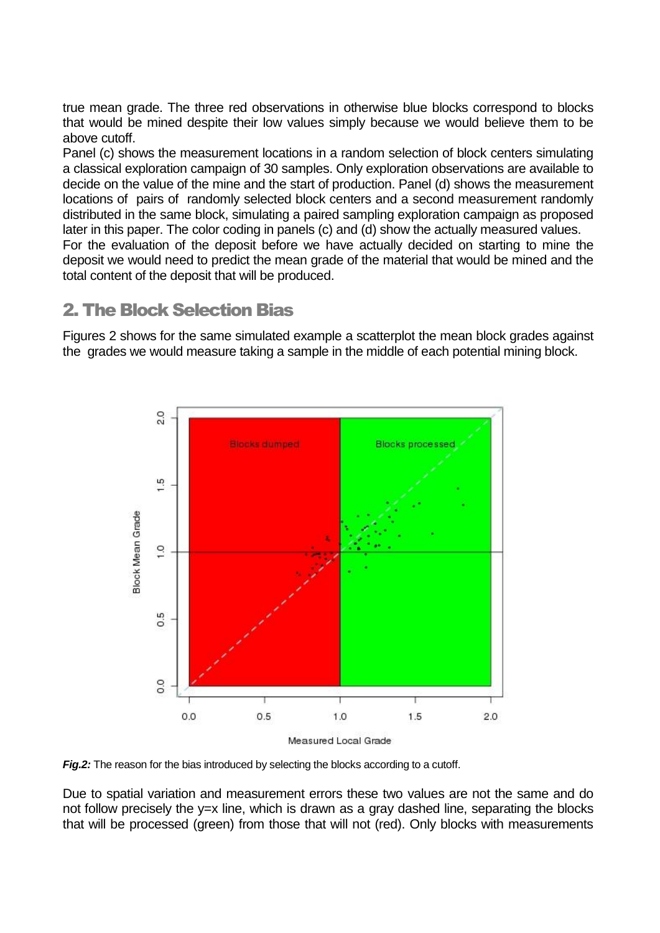true mean grade. The three red observations in otherwise blue blocks correspond to blocks that would be mined despite their low values simply because we would believe them to be above cutoff.

Panel (c) shows the measurement locations in a random selection of block centers simulating a classical exploration campaign of 30 samples. Only exploration observations are available to decide on the value of the mine and the start of production. Panel (d) shows the measurement locations of pairs of randomly selected block centers and a second measurement randomly distributed in the same block, simulating a paired sampling exploration campaign as proposed later in this paper. The color coding in panels (c) and (d) show the actually measured values. For the evaluation of the deposit before we have actually decided on starting to mine the deposit we would need to predict the mean grade of the material that would be mined and the total content of the deposit that will be produced.

### 2. The Block Selection Bias

Figures 2 shows for the same simulated example a scatterplot the mean block grades against the grades we would measure taking a sample in the middle of each potential mining block.



*Fig.2:* The reason for the bias introduced by selecting the blocks according to a cutoff.

Due to spatial variation and measurement errors these two values are not the same and do not follow precisely the y=x line, which is drawn as a gray dashed line, separating the blocks that will be processed (green) from those that will not (red). Only blocks with measurements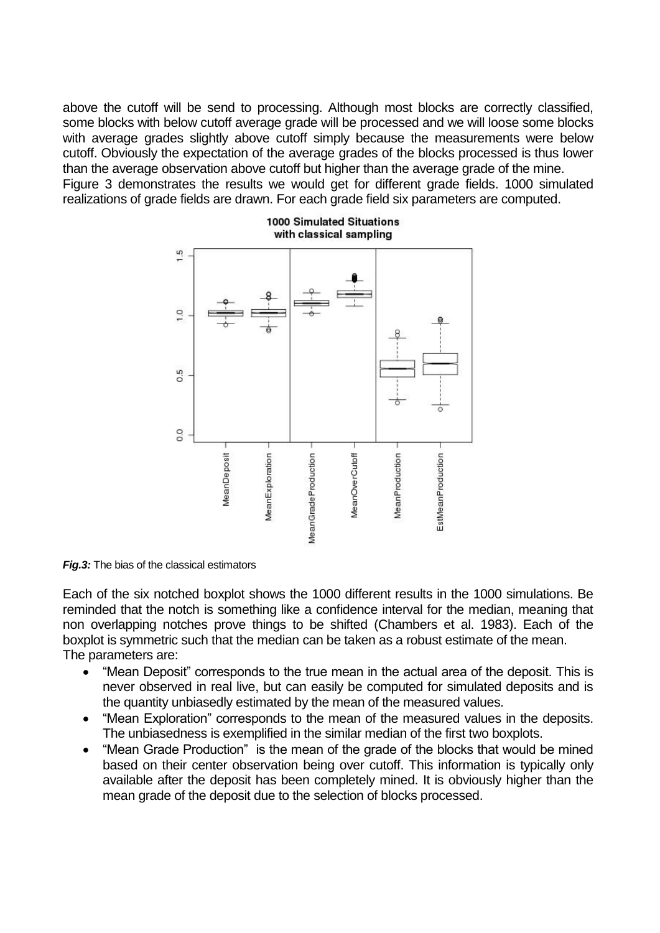above the cutoff will be send to processing. Although most blocks are correctly classified, some blocks with below cutoff average grade will be processed and we will loose some blocks with average grades slightly above cutoff simply because the measurements were below cutoff. Obviously the expectation of the average grades of the blocks processed is thus lower than the average observation above cutoff but higher than the average grade of the mine. Figure 3 demonstrates the results we would get for different grade fields. 1000 simulated realizations of grade fields are drawn. For each grade field six parameters are computed.



#### 1000 Simulated Situations with classical sampling

*Fig.3:* The bias of the classical estimators

Each of the six notched boxplot shows the 1000 different results in the 1000 simulations. Be reminded that the notch is something like a confidence interval for the median, meaning that non overlapping notches prove things to be shifted (Chambers et al. 1983). Each of the boxplot is symmetric such that the median can be taken as a robust estimate of the mean. The parameters are:

- "Mean Deposit" corresponds to the true mean in the actual area of the deposit. This is never observed in real live, but can easily be computed for simulated deposits and is the quantity unbiasedly estimated by the mean of the measured values.
- "Mean Exploration" corresponds to the mean of the measured values in the deposits. The unbiasedness is exemplified in the similar median of the first two boxplots.
- "Mean Grade Production" is the mean of the grade of the blocks that would be mined based on their center observation being over cutoff. This information is typically only available after the deposit has been completely mined. It is obviously higher than the mean grade of the deposit due to the selection of blocks processed.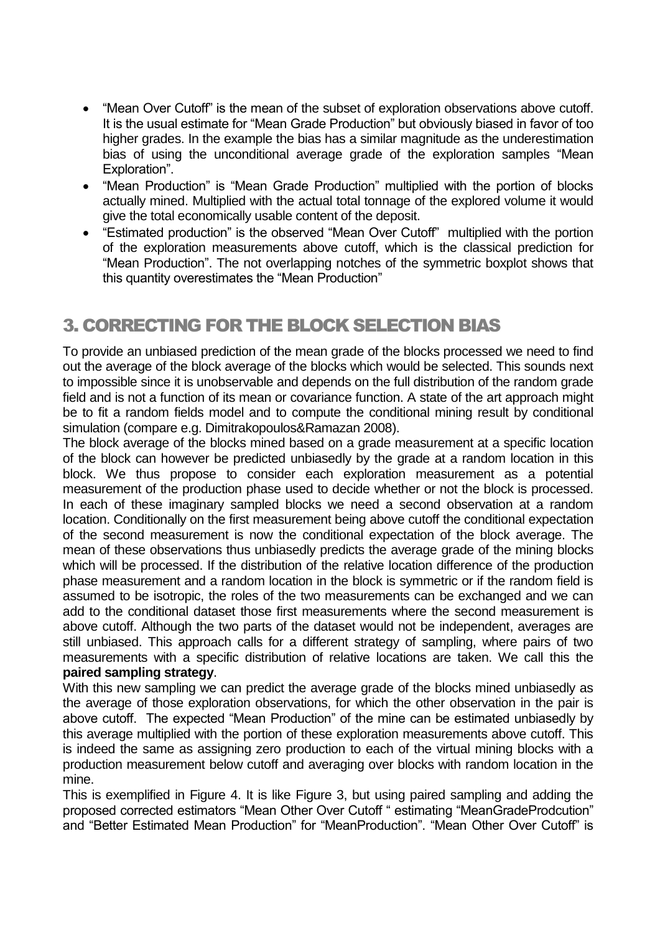- "Mean Over Cutoff" is the mean of the subset of exploration observations above cutoff. It is the usual estimate for "Mean Grade Production" but obviously biased in favor of too higher grades. In the example the bias has a similar magnitude as the underestimation bias of using the unconditional average grade of the exploration samples "Mean Exploration".
- "Mean Production" is "Mean Grade Production" multiplied with the portion of blocks actually mined. Multiplied with the actual total tonnage of the explored volume it would give the total economically usable content of the deposit.
- "Estimated production" is the observed "Mean Over Cutoff" multiplied with the portion of the exploration measurements above cutoff, which is the classical prediction for "Mean Production". The not overlapping notches of the symmetric boxplot shows that this quantity overestimates the "Mean Production"

# 3. CORRECTING FOR THE BLOCK SELECTION BIAS

To provide an unbiased prediction of the mean grade of the blocks processed we need to find out the average of the block average of the blocks which would be selected. This sounds next to impossible since it is unobservable and depends on the full distribution of the random grade field and is not a function of its mean or covariance function. A state of the art approach might be to fit a random fields model and to compute the conditional mining result by conditional simulation (compare e.g. Dimitrakopoulos&Ramazan 2008).

The block average of the blocks mined based on a grade measurement at a specific location of the block can however be predicted unbiasedly by the grade at a random location in this block. We thus propose to consider each exploration measurement as a potential measurement of the production phase used to decide whether or not the block is processed. In each of these imaginary sampled blocks we need a second observation at a random location. Conditionally on the first measurement being above cutoff the conditional expectation of the second measurement is now the conditional expectation of the block average. The mean of these observations thus unbiasedly predicts the average grade of the mining blocks which will be processed. If the distribution of the relative location difference of the production phase measurement and a random location in the block is symmetric or if the random field is assumed to be isotropic, the roles of the two measurements can be exchanged and we can add to the conditional dataset those first measurements where the second measurement is above cutoff. Although the two parts of the dataset would not be independent, averages are still unbiased. This approach calls for a different strategy of sampling, where pairs of two measurements with a specific distribution of relative locations are taken. We call this the **paired sampling strategy**.

With this new sampling we can predict the average grade of the blocks mined unbiasedly as the average of those exploration observations, for which the other observation in the pair is above cutoff. The expected "Mean Production" of the mine can be estimated unbiasedly by this average multiplied with the portion of these exploration measurements above cutoff. This is indeed the same as assigning zero production to each of the virtual mining blocks with a production measurement below cutoff and averaging over blocks with random location in the mine.

This is exemplified in Figure 4. It is like Figure 3, but using paired sampling and adding the proposed corrected estimators "Mean Other Over Cutoff " estimating "MeanGradeProdcution" and "Better Estimated Mean Production" for "MeanProduction". "Mean Other Over Cutoff" is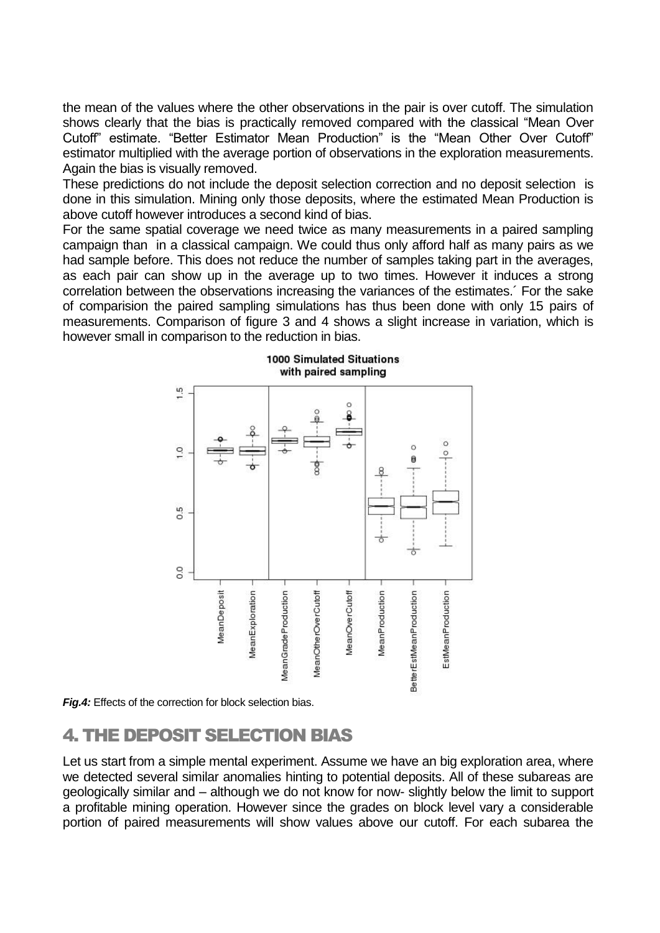the mean of the values where the other observations in the pair is over cutoff. The simulation shows clearly that the bias is practically removed compared with the classical "Mean Over Cutoff" estimate. "Better Estimator Mean Production" is the "Mean Other Over Cutoff" estimator multiplied with the average portion of observations in the exploration measurements. Again the bias is visually removed.

These predictions do not include the deposit selection correction and no deposit selection is done in this simulation. Mining only those deposits, where the estimated Mean Production is above cutoff however introduces a second kind of bias.

For the same spatial coverage we need twice as many measurements in a paired sampling campaign than in a classical campaign. We could thus only afford half as many pairs as we had sample before. This does not reduce the number of samples taking part in the averages, as each pair can show up in the average up to two times. However it induces a strong correlation between the observations increasing the variances of the estimates.´ For the sake of comparision the paired sampling simulations has thus been done with only 15 pairs of measurements. Comparison of figure 3 and 4 shows a slight increase in variation, which is however small in comparison to the reduction in bias.



1000 Simulated Situations with paired sampling

*Fig.4:* Effects of the correction for block selection bias.

## 4. THE DEPOSIT SELECTION BIAS

Let us start from a simple mental experiment. Assume we have an big exploration area, where we detected several similar anomalies hinting to potential deposits. All of these subareas are geologically similar and – although we do not know for now- slightly below the limit to support a profitable mining operation. However since the grades on block level vary a considerable portion of paired measurements will show values above our cutoff. For each subarea the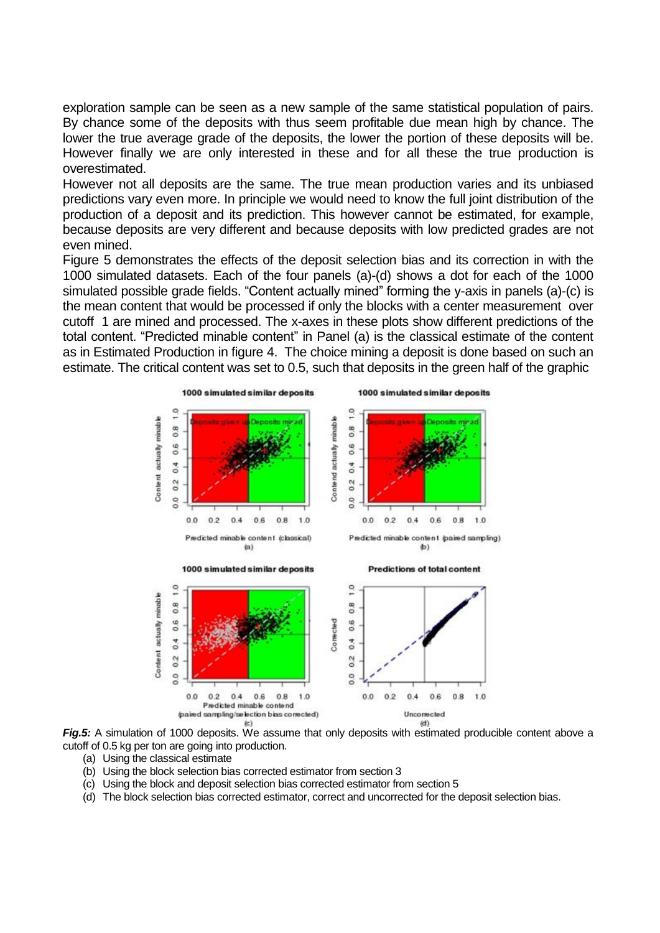exploration sample can be seen as a new sample of the same statistical population of pairs. By chance some of the deposits with thus seem profitable due mean high by chance. The lower the true average grade of the deposits, the lower the portion of these deposits will be. However finally we are only interested in these and for all these the true production is overestimated.

However not all deposits are the same. The true mean production varies and its unbiased predictions vary even more. In principle we would need to know the full joint distribution of the production of a deposit and its prediction. This however cannot be estimated, for example, because deposits are very different and because deposits with low predicted grades are not even mined.

Figure 5 demonstrates the effects of the deposit selection bias and its correction in with the 1000 simulated datasets. Each of the four panels (a)-(d) shows a dot for each of the 1000 simulated possible grade fields. "Content actually mined" forming the y-axis in panels (a)-(c) is the mean content that would be processed if only the blocks with a center measurement over cutoff 1 are mined and processed. The x-axes in these plots show different predictions of the total content. "Predicted minable content" in Panel (a) is the classical estimate of the content as in Estimated Production in figure 4. The choice mining a deposit is done based on such an estimate. The critical content was set to 0.5, such that deposits in the green half of the graphic



*Fig.5:* A simulation of 1000 deposits. We assume that only deposits with estimated producible content above a cutoff of 0.5 kg per ton are going into production.

- (a) Using the classical estimate
- (b) Using the block selection bias corrected estimator from section 3
- (c) Using the block and deposit selection bias corrected estimator from section 5
- (d) The block selection bias corrected estimator, correct and uncorrected for the deposit selection bias.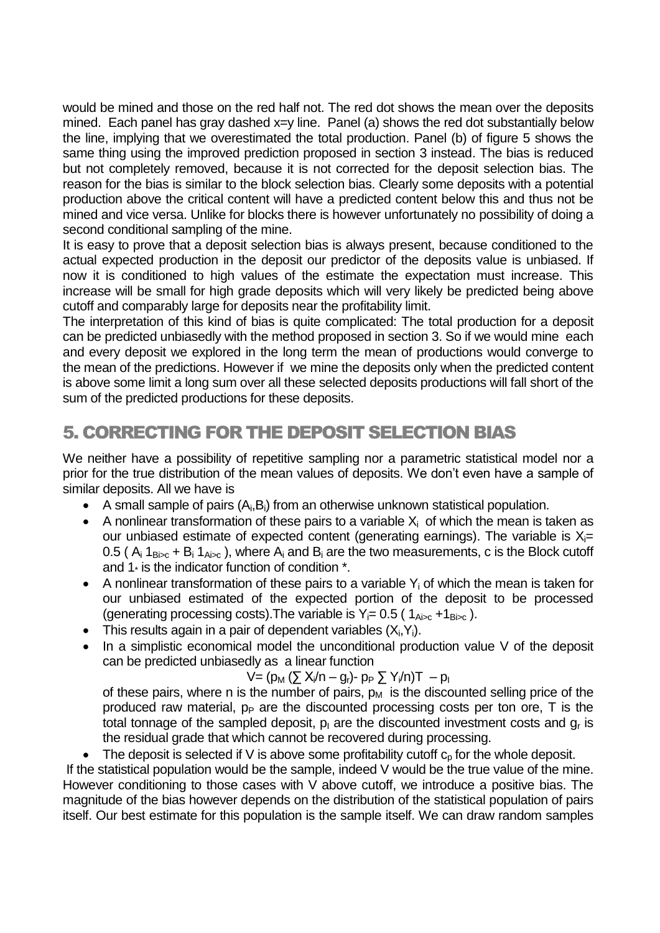would be mined and those on the red half not. The red dot shows the mean over the deposits mined. Each panel has gray dashed x=y line. Panel (a) shows the red dot substantially below the line, implying that we overestimated the total production. Panel (b) of figure 5 shows the same thing using the improved prediction proposed in section 3 instead. The bias is reduced but not completely removed, because it is not corrected for the deposit selection bias. The reason for the bias is similar to the block selection bias. Clearly some deposits with a potential production above the critical content will have a predicted content below this and thus not be mined and vice versa. Unlike for blocks there is however unfortunately no possibility of doing a second conditional sampling of the mine.

It is easy to prove that a deposit selection bias is always present, because conditioned to the actual expected production in the deposit our predictor of the deposits value is unbiased. If now it is conditioned to high values of the estimate the expectation must increase. This increase will be small for high grade deposits which will very likely be predicted being above cutoff and comparably large for deposits near the profitability limit.

The interpretation of this kind of bias is quite complicated: The total production for a deposit can be predicted unbiasedly with the method proposed in section 3. So if we would mine each and every deposit we explored in the long term the mean of productions would converge to the mean of the predictions. However if we mine the deposits only when the predicted content is above some limit a long sum over all these selected deposits productions will fall short of the sum of the predicted productions for these deposits.

# 5. CORRECTING FOR THE DEPOSIT SELECTION BIAS

We neither have a possibility of repetitive sampling nor a parametric statistical model nor a prior for the true distribution of the mean values of deposits. We don't even have a sample of similar deposits. All we have is

- A small sample of pairs  $(A_i, B_i)$  from an otherwise unknown statistical population.
- A nonlinear transformation of these pairs to a variable  $X_i$  of which the mean is taken as our unbiased estimate of expected content (generating earnings). The variable is  $X_i=$ 0.5 ( $A_i$  1 $_{Bisc}$  +  $B_i$  1 $_{Aisc}$ ), where  $A_i$  and  $B_i$  are the two measurements, c is the Block cutoff and  $1*$  is the indicator function of condition  $*$ .
- A nonlinear transformation of these pairs to a variable  $Y_i$  of which the mean is taken for our unbiased estimated of the expected portion of the deposit to be processed (generating processing costs). The variable is  $Y_i = 0.5$  ( $1_{A_i>c} + 1_{B_i>c}$ ).
- This results again in a pair of dependent variables  $(X_i, Y_i)$ .
- In a simplistic economical model the unconditional production value V of the deposit can be predicted unbiasedly as a linear function

$$
V = (p_M (\sum X_i/n - g_r) - p_P \sum Y_i/n)T - p_I
$$

of these pairs, where n is the number of pairs,  $p_M$  is the discounted selling price of the produced raw material,  $p_P$  are the discounted processing costs per ton ore, T is the total tonnage of the sampled deposit,  $p_1$  are the discounted investment costs and  $g_r$  is the residual grade that which cannot be recovered during processing.

• The deposit is selected if V is above some profitability cutoff  $c<sub>0</sub>$  for the whole deposit.

If the statistical population would be the sample, indeed V would be the true value of the mine. However conditioning to those cases with V above cutoff, we introduce a positive bias. The magnitude of the bias however depends on the distribution of the statistical population of pairs itself. Our best estimate for this population is the sample itself. We can draw random samples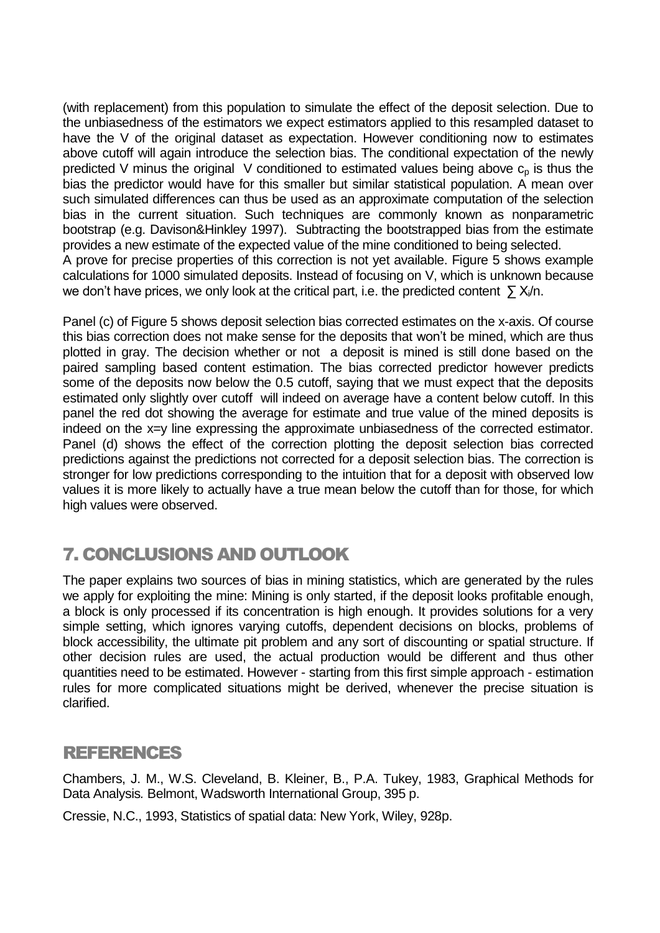(with replacement) from this population to simulate the effect of the deposit selection. Due to the unbiasedness of the estimators we expect estimators applied to this resampled dataset to have the V of the original dataset as expectation. However conditioning now to estimates above cutoff will again introduce the selection bias. The conditional expectation of the newly predicted V minus the original V conditioned to estimated values being above  $c<sub>p</sub>$  is thus the bias the predictor would have for this smaller but similar statistical population. A mean over such simulated differences can thus be used as an approximate computation of the selection bias in the current situation. Such techniques are commonly known as nonparametric bootstrap (e.g. Davison&Hinkley 1997). Subtracting the bootstrapped bias from the estimate provides a new estimate of the expected value of the mine conditioned to being selected. A prove for precise properties of this correction is not yet available. Figure 5 shows example calculations for 1000 simulated deposits. Instead of focusing on V, which is unknown because we don't have prices, we only look at the critical part, i.e. the predicted content  $\sum X_i/n$ .

Panel (c) of Figure 5 shows deposit selection bias corrected estimates on the x-axis. Of course this bias correction does not make sense for the deposits that won't be mined, which are thus plotted in gray. The decision whether or not a deposit is mined is still done based on the paired sampling based content estimation. The bias corrected predictor however predicts some of the deposits now below the 0.5 cutoff, saying that we must expect that the deposits estimated only slightly over cutoff will indeed on average have a content below cutoff. In this panel the red dot showing the average for estimate and true value of the mined deposits is indeed on the x=y line expressing the approximate unbiasedness of the corrected estimator. Panel (d) shows the effect of the correction plotting the deposit selection bias corrected predictions against the predictions not corrected for a deposit selection bias. The correction is stronger for low predictions corresponding to the intuition that for a deposit with observed low values it is more likely to actually have a true mean below the cutoff than for those, for which high values were observed.

# 7. CONCLUSIONS AND OUTLOOK

The paper explains two sources of bias in mining statistics, which are generated by the rules we apply for exploiting the mine: Mining is only started, if the deposit looks profitable enough, a block is only processed if its concentration is high enough. It provides solutions for a very simple setting, which ignores varying cutoffs, dependent decisions on blocks, problems of block accessibility, the ultimate pit problem and any sort of discounting or spatial structure. If other decision rules are used, the actual production would be different and thus other quantities need to be estimated. However - starting from this first simple approach - estimation rules for more complicated situations might be derived, whenever the precise situation is clarified.

### REFERENCES

Chambers, J. M., W.S. Cleveland, B. Kleiner, B., P.A. Tukey, 1983, Graphical Methods for Data Analysis*.* Belmont, Wadsworth International Group, 395 p.

Cressie, N.C., 1993, Statistics of spatial data: New York, Wiley, 928p.